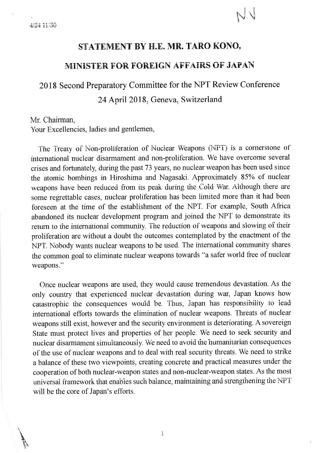## STATEMENT BY H.E. MR. TARO KONO,

### MINISTER FOR FOREIGN AFFAIRS OF JAPAN

# 2018 Second Preparatory Committee for the NPT Review Conference

# 24 April 2018. Geneva, Switzerland

#### Mr. Chairman,

Your Excellencies, ladies and gentlemen,

The Treaty of Non-proliferation of Nuclear Weapons (NPT) is a cornerstone of international nuclear disarmament and non-proliferation. We have overcome several crises and fortunately, during the past 73 years, no nuclear weapon has been used since the atomic bombings in Hiroshima and Nagasaki. Approximately 85% of nuclear weapons have been reduced from its peak during the Cold War. Although there are some regrettable cases, nuclear proliferation has been limited more than it had been foreseen at the time of the establishment of the NPT. For example, South Africa abandoned its nuclear development program and joined the NPT to demonstrate its return to the international community. The reduction of weapons and slowing of their proliferation are without a doubt the outcomes contemplated by the enactment of the NPT. Nobody wants nuclear weapons to be used. The international community shares the common goal to eliminate nuclear weapons towards "a safer world free of nuclear weapons."

Once nuclear weapons are used, they would cause tremendous devastation. As the only country that experienced nuclear devastation during war, Japan knows how catastrophic the consequences would be. Thus, Japan has responsibility to lead international efforts towards the elimination of nuclear weapons. Threats of nuclear weapons still exist, however and the security environment is deteriorating. A sovereign State must protect lives and properties of her people. We need to seek security and nuclear disarmament simultaneously. We need to avoid the humanitarian consequences of the use of nuclear weapons and to deal with real security threats. We need to strike a balance of these two viewpoints, creating concrete and practical measures under the cooperation of both nuclear-weapon states and non-nuclear-weapon states. As the most universal framework that enables such balance, maintaining and strengthening the NPT will be the core of Japan's efforts.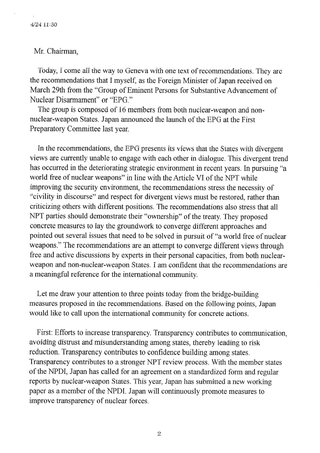#### Mr. Chairman.

Today, I come all the way to Geneva with one text of recommendations. They are the recommendations that I myself, as the Foreign Minister of Japan received on March 29th from the "Group of Eminent Persons for Substantive Advancement of Nuclear Disarmament" or "EPG"

The group is composed of 16 members from both nuclear-weapon and nonnuclear-weapon States. Japan announced the launch of the EPG at the First Preparatory Committee last year.

In the recommendations, the EPG presents its views that the States with divergent views are currently unable to engage with each other in dialogue. This divergent trend has occurred in the deteriorating strategic environment in recent years. In pursuing "a world free of nuclear weapons" in line with the Article VI of the NPT while improving the security environment, the recommendations stress the necessity of "civility in discourse" and respect for divergent views must be restored, rather than criticizing others with different positions. The recommendations also stress that all NPT parties should demonstrate their "ownership" of the treaty. They proposed concrete measures to lay the groundwork to converge different approaches and pointed out several issues that need to be solved in pursuit of "a world free of nuclear weapons." The recommendations are an attempt to converge different views through free and active discussions by experts in their personal capacities, from both nuclearweapon and non-nuclear-weapon States. I am confident that the recommendations are a meaningful reference for the international community.

Let me draw your attention to three points today from the bridge-building measures proposed in the recommendations. Based on the following points, Japan would like to call upon the international community for concrete actions.

First: Efforts to increase transparency. Transparency contributes to communication. avoiding distrust and misunderstanding among states, thereby leading to risk reduction. Transparency contributes to confidence building among states. Transparency contributes to a stronger NPT review process. With the member states of the NPDI, Japan has called for an agreement on a standardized form and regular reports by nuclear-weapon States. This year, Japan has submitted a new working paper as a member of the NPDI. Japan will continuously promote measures to improve transparency of nuclear forces.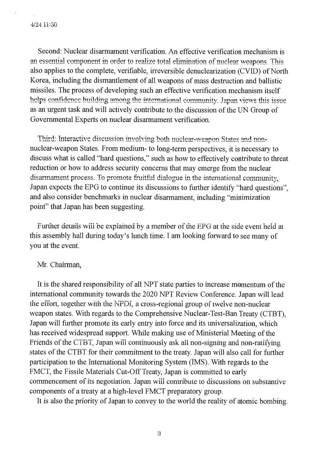Second: Nuclear disarmament verification. An effective verification mechanism is an essential component in order to realize total elimination of nuclear weapons. This also applies to the complete, verifiable, irreversible denuclearization (CVID) of North Korea, including the dismantlement of all weapons of mass destruction and ballistic missiles. The process of developing such an effective verification mechanism itself helps confidence building among the international community. Japan views this issue as an urgent task and will actively contribute to the discussion of the UN Group of Governmental Experts on nuclear disarmament verification.

Third: Interactive discussion involving both nuclear-weapon States and nonnuclear-weapon States. From medium- to long-term perspectives, it is necessary to discuss what is called "hard questions," such as how to effectively contribute to threat reduction or how to address security concerns that may emerge from the nuclear disarmament process. To promote fruitful dialogue in the international community, Japan expects the EPG to continue its discussions to further identify "hard questions". and also consider benchmarks in nuclear disarmament, including "minimization" point" that Japan has been suggesting.

Further details will be explained by a member of the EPG at the side event held at this assembly hall during today's lunch time. I am looking forward to see many of you at the event.

#### Mr. Chairman,

It is the shared responsibility of all NPT state parties to increase momentum of the international community towards the 2020 NPT Review Conference. Japan will lead the effort, together with the NPDI, a cross-regional group of twelve non-nuclear weapon states. With regards to the Comprehensive Nuclear-Test-Ban Treaty (CTBT), Japan will further promote its early entry into force and its universalization, which has received widespread support. While making use of Ministerial Meeting of the Friends of the CTBT, Japan will continuously ask all non-signing and non-ratifying states of the CTBT for their commitment to the treaty. Japan will also call for further participation to the International Monitoring System (IMS). With regards to the FMCT, the Fissile Materials Cut-Off Treaty, Japan is committed to early commencement of its negotiation. Japan will contribute to discussions on substantive components of a treaty at a high-level FMCT preparatory group.

It is also the priority of Japan to convey to the world the reality of atomic bombing.

3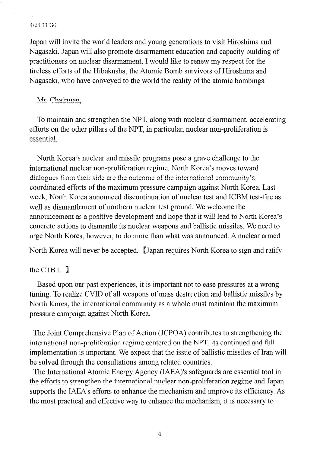#### 4/24 11:30

Japan will invite the world leaders and young generations to visit Hiroshima and Nagasaki. Japan will also promote disarmament education and capacity building of practitioners on nuclear disarmament. I would like to renew my respect for the tireless efforts of the Hibakusha, the Atomic Bomb survivors of Hiroshima and Nagasaki, who have conveyed to the world the reality of the atomic bombings.

Mr. Chairman,

To maintain and strengthen the NPT, along with nuclear disarmament, accelerating efforts on the other pillars of the NPT, in particular, nuclear non-proliferation is essential.

North Korea's nuclear and missile programs pose a grave challenge to the international nuclear non-proliferation regime. North Korea's moves toward dialogues from their side are the outcome of the international community's coordinated efforts of the maximum pressure campaign against North Korea. Last week, North Korea announced discontinuation of nuclear test and ICBM test-fire as well as dismantlement of northern nuclear test ground. We welcome the announcement as a positive development and hope that it will lead to North Korea's concrete actions to dismantle its nuclear weapons and ballistic missiles. We need to urge North Korea, however, to do more than what was announced. A nuclear armed

North Korea will never be accepted. [Japan requires North Korea to sign and ratify

#### the  $CIBI.$   $\overline{I}$

Based upon our past experiences, it is important not to ease pressures at a wrong timing. To realize CVID of all weapons of mass destruction and ballistic missiles by North Korea, the international community as a whole must maintain the maximum pressure campaign against North Korea.

The Joint Comprehensive Plan of Action (JCPOA) contributes to strengthening the international non-proliferation regime centered on the NPT. Its continued and full implementation is important. We expect that the issue of ballistic missiles of Iran will be solved through the consultations among related countries.

The International Atomic Energy Agency (IAEA)'s safeguards are essential tool in the efforts to strengthen the international nuclear non-proliferation regime and Japan supports the IAEA's efforts to enhance the mechanism and improve its efficiency. As the most practical and effective way to enhance the mechanism, it is necessaty to